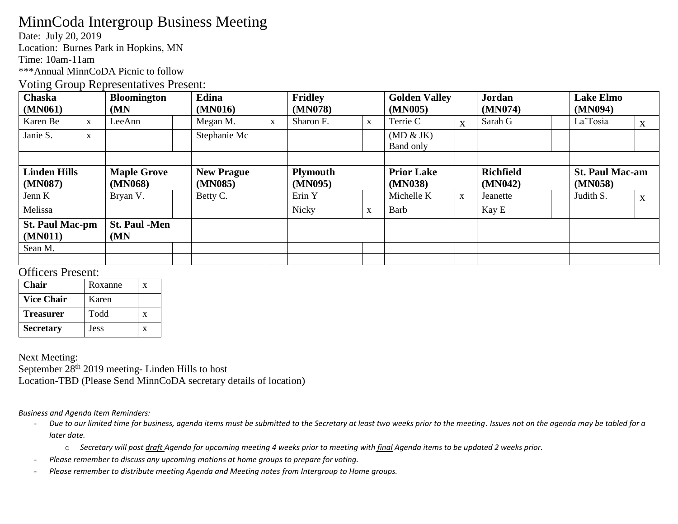# MinnCoda Intergroup Business Meeting

Date: July 20, 2019

Location: Burnes Park in Hopkins, MN

Time: 10am-11am

\*\*\*Annual MinnCoDA Picnic to follow

### Voting Group Representatives Present:

| Chaska                 |             | <b>Bloomington</b>   |  | Edina             |             | <b>Fridley</b>  |             | <b>Golden Valley</b> |              | <b>Jordan</b>    |  | <b>Lake Elmo</b>       |              |
|------------------------|-------------|----------------------|--|-------------------|-------------|-----------------|-------------|----------------------|--------------|------------------|--|------------------------|--------------|
| (MN061)                |             | (MN)                 |  | (MN016)           |             | (MN078)         |             | (MN005)              |              | (MN074)          |  | (MN094)                |              |
| Karen Be               | $\mathbf X$ | LeeAnn               |  | Megan M.          | $\mathbf X$ | Sharon F.       | $\mathbf X$ | Terrie C             | X            | Sarah G          |  | La'Tosia               | X            |
| Janie S.               | $\mathbf X$ |                      |  | Stephanie Mc      |             |                 |             | (MD & JK)            |              |                  |  |                        |              |
|                        |             |                      |  |                   |             |                 |             | Band only            |              |                  |  |                        |              |
|                        |             |                      |  |                   |             |                 |             |                      |              |                  |  |                        |              |
| <b>Linden Hills</b>    |             | <b>Maple Grove</b>   |  | <b>New Prague</b> |             | <b>Plymouth</b> |             | <b>Prior Lake</b>    |              | <b>Richfield</b> |  | <b>St. Paul Mac-am</b> |              |
| (MN087)                |             | (MN068)              |  | (MN085)           |             | (MN095)         |             | (MN038)              |              | (MN042)          |  | (MN058)                |              |
| Jenn K                 |             | Bryan V.             |  | Betty C.          |             | Erin Y          |             | Michelle K           | $\mathbf{X}$ | Jeanette         |  | Judith S.              | $\mathbf{X}$ |
| Melissa                |             |                      |  |                   |             | Nicky           | X           | Barb                 |              | Kay E            |  |                        |              |
| <b>St. Paul Mac-pm</b> |             | <b>St. Paul -Men</b> |  |                   |             |                 |             |                      |              |                  |  |                        |              |
| (MN011)                |             | (MN)                 |  |                   |             |                 |             |                      |              |                  |  |                        |              |
|                        |             |                      |  |                   |             |                 |             |                      |              |                  |  |                        |              |
| Sean M.                |             |                      |  |                   |             |                 |             |                      |              |                  |  |                        |              |

### Officers Present:

| <b>Chair</b>      | Roxanne | x |
|-------------------|---------|---|
| <b>Vice Chair</b> | Karen   |   |
| <b>Treasurer</b>  | Todd    | X |
| <b>Secretary</b>  | Jess    | x |

Next Meeting:

September 28<sup>th</sup> 2019 meeting- Linden Hills to host Location-TBD (Please Send MinnCoDA secretary details of location)

#### *Business and Agenda Item Reminders:*

- *Due to our limited time for business, agenda items must be submitted to the Secretary at least two weeks prior to the meeting. Issues not on the agenda may be tabled for a later date.* 
	- o *Secretary will post draft Agenda for upcoming meeting 4 weeks prior to meeting with final Agenda items to be updated 2 weeks prior.*
- *Please remember to discuss any upcoming motions at home groups to prepare for voting.*
- *Please remember to distribute meeting Agenda and Meeting notes from Intergroup to Home groups.*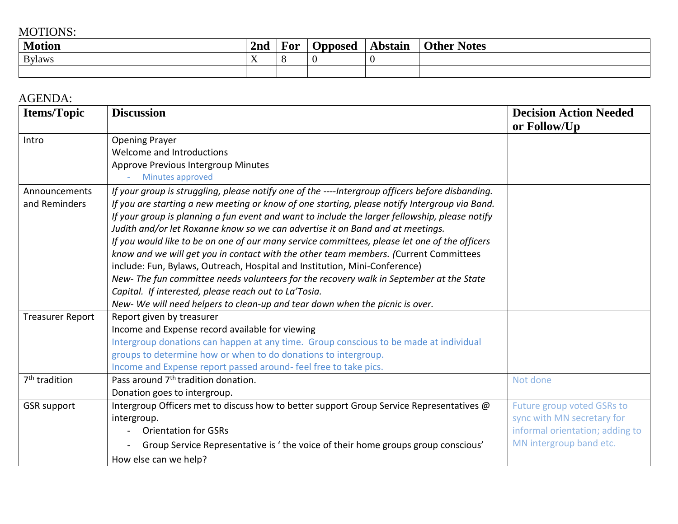## MOTIONS:

| <b>Motion</b> | 2nd | F OI<br>- | Jpposed | Abstain | <b>Notes</b><br>Other |
|---------------|-----|-----------|---------|---------|-----------------------|
| <b>Bylaws</b> | . . |           |         |         |                       |
|               |     |           |         |         |                       |

## AGENDA:

| <b>Items/Topic</b>        | <b>Discussion</b>                                                                                                                                                  | <b>Decision Action Needed</b>   |
|---------------------------|--------------------------------------------------------------------------------------------------------------------------------------------------------------------|---------------------------------|
| Intro                     | <b>Opening Prayer</b>                                                                                                                                              | or Follow/Up                    |
|                           | Welcome and Introductions                                                                                                                                          |                                 |
|                           | Approve Previous Intergroup Minutes                                                                                                                                |                                 |
|                           | Minutes approved                                                                                                                                                   |                                 |
| Announcements             | If your group is struggling, please notify one of the ----Intergroup officers before disbanding.                                                                   |                                 |
| and Reminders             | If you are starting a new meeting or know of one starting, please notify Intergroup via Band.                                                                      |                                 |
|                           | If your group is planning a fun event and want to include the larger fellowship, please notify                                                                     |                                 |
|                           | Judith and/or let Roxanne know so we can advertise it on Band and at meetings.                                                                                     |                                 |
|                           | If you would like to be on one of our many service committees, please let one of the officers                                                                      |                                 |
|                           | know and we will get you in contact with the other team members. (Current Committees<br>include: Fun, Bylaws, Outreach, Hospital and Institution, Mini-Conference) |                                 |
|                           | New-The fun committee needs volunteers for the recovery walk in September at the State                                                                             |                                 |
|                           | Capital. If interested, please reach out to La'Tosia.                                                                                                              |                                 |
|                           | New- We will need helpers to clean-up and tear down when the picnic is over.                                                                                       |                                 |
| <b>Treasurer Report</b>   | Report given by treasurer                                                                                                                                          |                                 |
|                           | Income and Expense record available for viewing                                                                                                                    |                                 |
|                           | Intergroup donations can happen at any time. Group conscious to be made at individual                                                                              |                                 |
|                           | groups to determine how or when to do donations to intergroup.                                                                                                     |                                 |
|                           | Income and Expense report passed around- feel free to take pics.                                                                                                   |                                 |
| 7 <sup>th</sup> tradition | Pass around 7 <sup>th</sup> tradition donation.                                                                                                                    | Not done                        |
|                           | Donation goes to intergroup.                                                                                                                                       |                                 |
| <b>GSR</b> support        | Intergroup Officers met to discuss how to better support Group Service Representatives @                                                                           | Future group voted GSRs to      |
|                           | intergroup.                                                                                                                                                        | sync with MN secretary for      |
|                           | <b>Orientation for GSRs</b>                                                                                                                                        | informal orientation; adding to |
|                           | Group Service Representative is 'the voice of their home groups group conscious'                                                                                   | MN intergroup band etc.         |
|                           | How else can we help?                                                                                                                                              |                                 |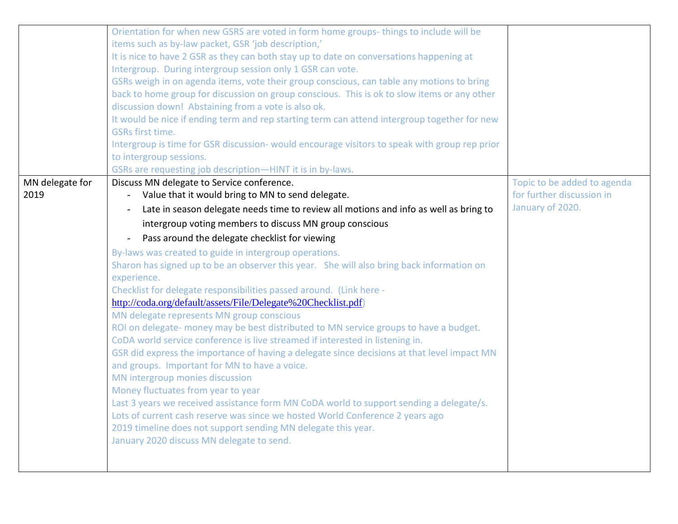|                 | Orientation for when new GSRS are voted in form home groups-things to include will be         |                             |
|-----------------|-----------------------------------------------------------------------------------------------|-----------------------------|
|                 | items such as by-law packet, GSR 'job description,'                                           |                             |
|                 | It is nice to have 2 GSR as they can both stay up to date on conversations happening at       |                             |
|                 | Intergroup. During intergroup session only 1 GSR can vote.                                    |                             |
|                 | GSRs weigh in on agenda items, vote their group conscious, can table any motions to bring     |                             |
|                 | back to home group for discussion on group conscious. This is ok to slow items or any other   |                             |
|                 | discussion down! Abstaining from a vote is also ok.                                           |                             |
|                 | It would be nice if ending term and rep starting term can attend intergroup together for new  |                             |
|                 | <b>GSRs first time.</b>                                                                       |                             |
|                 | Intergroup is time for GSR discussion- would encourage visitors to speak with group rep prior |                             |
|                 | to intergroup sessions.                                                                       |                             |
|                 | GSRs are requesting job description-HINT it is in by-laws.                                    |                             |
| MN delegate for | Discuss MN delegate to Service conference.                                                    | Topic to be added to agenda |
| 2019            | Value that it would bring to MN to send delegate.<br>$\blacksquare$                           | for further discussion in   |
|                 | Late in season delegate needs time to review all motions and info as well as bring to         | January of 2020.            |
|                 | intergroup voting members to discuss MN group conscious                                       |                             |
|                 | Pass around the delegate checklist for viewing                                                |                             |
|                 | By-laws was created to guide in intergroup operations.                                        |                             |
|                 | Sharon has signed up to be an observer this year. She will also bring back information on     |                             |
|                 | experience.                                                                                   |                             |
|                 | Checklist for delegate responsibilities passed around. (Link here -                           |                             |
|                 | http://coda.org/default/assets/File/Delegate%20Checklist.pdf)                                 |                             |
|                 | MN delegate represents MN group conscious                                                     |                             |
|                 | ROI on delegate- money may be best distributed to MN service groups to have a budget.         |                             |
|                 | CoDA world service conference is live streamed if interested in listening in.                 |                             |
|                 | GSR did express the importance of having a delegate since decisions at that level impact MN   |                             |
|                 | and groups. Important for MN to have a voice.                                                 |                             |
|                 | MN intergroup monies discussion                                                               |                             |
|                 | Money fluctuates from year to year                                                            |                             |
|                 | Last 3 years we received assistance form MN CoDA world to support sending a delegate/s.       |                             |
|                 | Lots of current cash reserve was since we hosted World Conference 2 years ago                 |                             |
|                 | 2019 timeline does not support sending MN delegate this year.                                 |                             |
|                 | January 2020 discuss MN delegate to send.                                                     |                             |
|                 |                                                                                               |                             |
|                 |                                                                                               |                             |